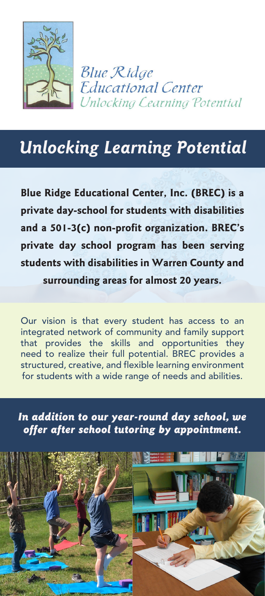

**Blue Ridge Educational Center Unlocking Cearning Potential** 

# *Unlocking Learning Potential*

**Blue Ridge Educational Center, Inc. (BREC) is a private day-school for students with disabilities and a 501-3(c) non-profit organization. BREC's private day school program has been serving students with disabilities in Warren County and surrounding areas for almost 20 years.**

Our vision is that every student has access to an integrated network of community and family support that provides the skills and opportunities they need to realize their full potential. BREC provides a structured, creative, and flexible learning environment for students with a wide range of needs and abilities.

*In addition to our year-round day school, we offer after school tutoring by appointment.*